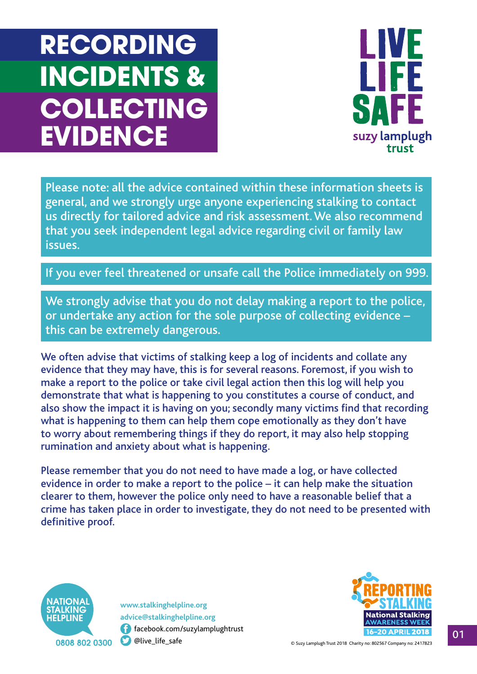# **RECORDING INCIDENTS & COLLECTING EVIDENCE**



Please note: all the advice contained within these information sheets is general, and we strongly urge anyone experiencing stalking to contact us directly for tailored advice and risk assessment. We also recommend that you seek independent legal advice regarding civil or family law issues.

If you ever feel threatened or unsafe call the Police immediately on 999.

We strongly advise that you do not delay making a report to the police, or undertake any action for the sole purpose of collecting evidence – this can be extremely dangerous.

 rumination and anxiety about what is happening. We often advise that victims of stalking keep a log of incidents and collate any evidence that they may have, this is for several reasons. Foremost, if you wish to make a report to the police or take civil legal action then this log will help you demonstrate that what is happening to you constitutes a course of conduct, and also show the impact it is having on you; secondly many victims fnd that recording what is happening to them can help them cope emotionally as they don't have to worry about remembering things if they do report, it may also help stopping

Please remember that you do not need to have made a log, or have collected evidence in order to make a report to the police – it can help make the situation clearer to them, however the police only need to have a reasonable belief that a crime has taken place in order to investigate, they do not need to be presented with definitive proof.



**0**  [facebook.com/suzylamplughtrust](https://facebook.com/suzylamplughtrust) **<www.stalkinghelpline.org> [advice@stalkinghelpline.org](mailto:advice@stalkinghelpline.org)**

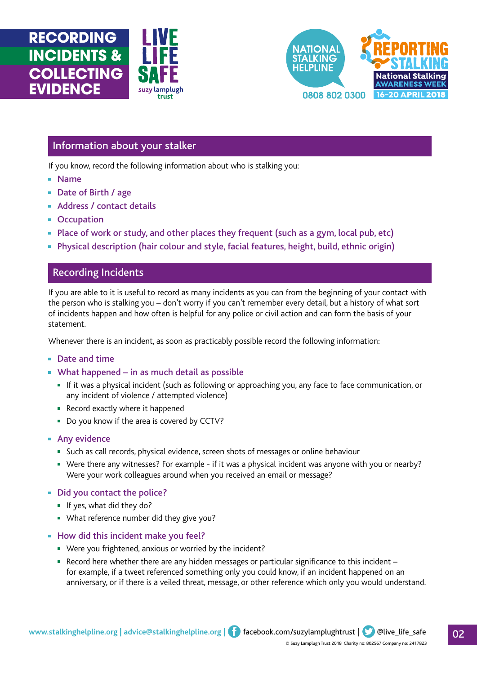



## Information about your stalker

If you know, record the following information about who is stalking you:

: lamplugh trust

- Name
- Date of Birth / age
- Address / contact details
- Occupation
- Place of work or study, and other places they frequent (such as a gym, local pub, etc)
- Physical description (hair colour and style, facial features, height, build, ethnic origin)

## Recording Incidents

If you are able to it is useful to record as many incidents as you can from the beginning of your contact with the person who is stalking you – don't worry if you can't remember every detail, but a history of what sort of incidents happen and how often is helpful for any police or civil action and can form the basis of your statement.

Whenever there is an incident, as soon as practicably possible record the following information:

#### ■ Date and time

- What happened in as much detail as possible
	- If it was a physical incident (such as following or approaching you, any face to face communication, or any incident of violence / attempted violence)
	- Record exactly where it happened
	- Do you know if the area is covered by CCTV?
- Any evidence
	- Such as call records, physical evidence, screen shots of messages or online behaviour
	- Were there any witnesses? For example if it was a physical incident was anyone with you or nearby? Were your work colleagues around when you received an email or message?
- Did you contact the police?
	- If yes, what did they do?
	- What reference number did they give you?
- How did this incident make you feel?
	- Were you frightened, anxious or worried by the incident?
	- Record here whether there are any hidden messages or particular significance to this incident for example, if a tweet referenced something only you could know, if an incident happened on an anniversary, or if there is a veiled threat, message, or other reference which only you would understand.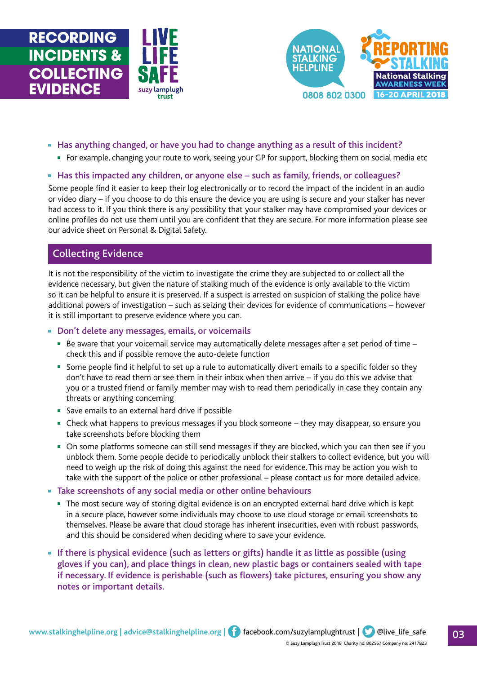





- Has anything changed, or have you had to change anything as a result of this incident?
	- For example, changing your route to work, seeing your GP for support, blocking them on social media etc

### ■ Has this impacted any children, or anyone else – such as family, friends, or colleagues?

Some people fnd it easier to keep their log electronically or to record the impact of the incident in an audio or video diary – if you choose to do this ensure the device you are using is secure and your stalker has never had access to it. If you think there is any possibility that your stalker may have compromised your devices or online profles do not use them until you are confdent that they are secure. For more information please see our advice sheet on Personal & Digital Safety.

## Collecting Evidence

It is not the responsibility of the victim to investigate the crime they are subjected to or collect all the evidence necessary, but given the nature of stalking much of the evidence is only available to the victim so it can be helpful to ensure it is preserved. If a suspect is arrested on suspicion of stalking the police have additional powers of investigation – such as seizing their devices for evidence of communications – however it is still important to preserve evidence where you can.

■ Don't delete any messages, emails, or voicemails

- Be aware that your voicemail service may automatically delete messages after a set period of time check this and if possible remove the auto-delete function
- Some people find it helpful to set up a rule to automatically divert emails to a specific folder so they don't have to read them or see them in their inbox when then arrive – if you do this we advise that you or a trusted friend or family member may wish to read them periodically in case they contain any threats or anything concerning
- Save emails to an external hard drive if possible
- Check what happens to previous messages if you block someone they may disappear, so ensure you take screenshots before blocking them
- On some platforms someone can still send messages if they are blocked, which you can then see if you unblock them. Some people decide to periodically unblock their stalkers to collect evidence, but you will need to weigh up the risk of doing this against the need for evidence. This may be action you wish to take with the support of the police or other professional – please contact us for more detailed advice.
- **Take screenshots of any social media or other online behaviours** 
	- The most secure way of storing digital evidence is on an encrypted external hard drive which is kept in a secure place, however some individuals may choose to use cloud storage or email screenshots to themselves. Please be aware that cloud storage has inherent insecurities, even with robust passwords, and this should be considered when deciding where to save your evidence.
- If there is physical evidence (such as letters or gifts) handle it as little as possible (using gloves if you can), and place things in clean, new plastic bags or containers sealed with tape if necessary. If evidence is perishable (such as flowers) take pictures, ensuring you show any notes or important details.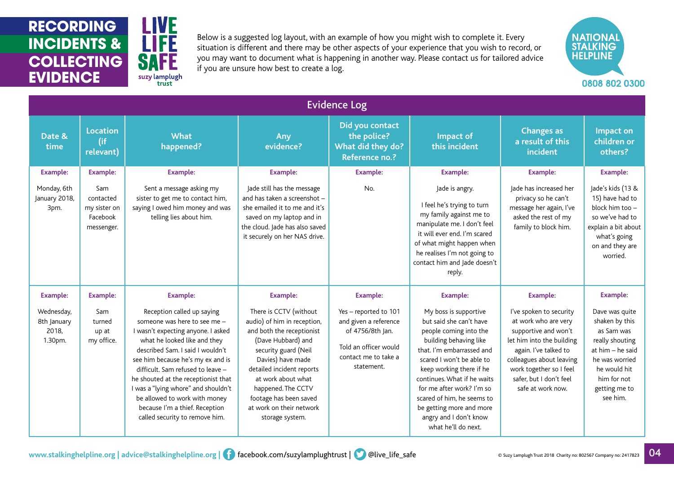**RECORDING INCIDENTS & COLLECTING EVIDENCE** 



Below is a suggested log layout, with an example of how you might wish to complete it. Every situation is different and there may be other aspects of your experience that you wish to record, or you may want to document what is happening in another way. Please contact us for tailored advice if you are unsure how best to create a log.



| <b>Evidence Log</b>                                              |                                                                               |                                                                                                                                                                                                                                                                                                                                                                                                                                                      |                                                                                                                                                                                                                                                                                                                            |                                                                                                                                                      |                                                                                                                                                                                                                                                                                                                                                                                      |                                                                                                                                                                                                                                                         |                                                                                                                                                                                        |  |  |  |  |  |
|------------------------------------------------------------------|-------------------------------------------------------------------------------|------------------------------------------------------------------------------------------------------------------------------------------------------------------------------------------------------------------------------------------------------------------------------------------------------------------------------------------------------------------------------------------------------------------------------------------------------|----------------------------------------------------------------------------------------------------------------------------------------------------------------------------------------------------------------------------------------------------------------------------------------------------------------------------|------------------------------------------------------------------------------------------------------------------------------------------------------|--------------------------------------------------------------------------------------------------------------------------------------------------------------------------------------------------------------------------------------------------------------------------------------------------------------------------------------------------------------------------------------|---------------------------------------------------------------------------------------------------------------------------------------------------------------------------------------------------------------------------------------------------------|----------------------------------------------------------------------------------------------------------------------------------------------------------------------------------------|--|--|--|--|--|
| Date &<br>time                                                   | <b>Location</b><br>(if<br>relevant)                                           | <b>What</b><br>happened?                                                                                                                                                                                                                                                                                                                                                                                                                             | Any<br>evidence?                                                                                                                                                                                                                                                                                                           | Did you contact<br>the police?<br>What did they do?<br>Reference no.?                                                                                | Impact of<br>this incident                                                                                                                                                                                                                                                                                                                                                           | <b>Changes as</b><br>a result of this<br>incident                                                                                                                                                                                                       | Impact on<br>children or<br>others?                                                                                                                                                    |  |  |  |  |  |
| <b>Example:</b><br>Monday, 6th<br>January 2018,<br>3pm.          | <b>Example:</b><br>Sam<br>contacted<br>my sister on<br>Facebook<br>messenger. | <b>Example:</b><br>Sent a message asking my<br>sister to get me to contact him,<br>saying I owed him money and was<br>telling lies about him.                                                                                                                                                                                                                                                                                                        | <b>Example:</b><br>Jade still has the message<br>and has taken a screenshot -<br>she emailed it to me and it's<br>saved on my laptop and in<br>the cloud. Jade has also saved<br>it securely on her NAS drive.                                                                                                             | <b>Example:</b><br>No.                                                                                                                               | <b>Example:</b><br>Jade is angry.<br>I feel he's trying to turn<br>my family against me to<br>manipulate me. I don't feel<br>it will ever end. I'm scared<br>of what might happen when<br>he realises I'm not going to<br>contact him and Jade doesn't<br>reply.                                                                                                                     | <b>Example:</b><br>Jade has increased her<br>privacy so he can't<br>message her again, I've<br>asked the rest of my<br>family to block him.                                                                                                             | <b>Example:</b><br>Jade's kids (13 &<br>15) have had to<br>block him too -<br>so we've had to<br>explain a bit about<br>what's going<br>on and they are<br>worried.                    |  |  |  |  |  |
| <b>Example:</b><br>Wednesday,<br>8th January<br>2018,<br>1.30pm. | <b>Example:</b><br>Sam<br>turned<br>up at<br>my office.                       | <b>Example:</b><br>Reception called up saying<br>someone was here to see me -<br>I wasn't expecting anyone. I asked<br>what he looked like and they<br>described Sam. I said I wouldn't<br>see him because he's my ex and is<br>difficult. Sam refused to leave -<br>he shouted at the receptionist that<br>I was a "lying whore" and shouldn't<br>be allowed to work with money<br>because I'm a thief. Reception<br>called security to remove him. | <b>Example:</b><br>There is CCTV (without<br>audio) of him in reception,<br>and both the receptionist<br>(Dave Hubbard) and<br>security guard (Neil<br>Davies) have made<br>detailed incident reports<br>at work about what<br>happened. The CCTV<br>footage has been saved<br>at work on their network<br>storage system. | <b>Example:</b><br>Yes - reported to 101<br>and given a reference<br>of 4756/8th Jan.<br>Told an officer would<br>contact me to take a<br>statement. | <b>Example:</b><br>My boss is supportive<br>but said she can't have<br>people coming into the<br>building behaving like<br>that. I'm embarrassed and<br>scared I won't be able to<br>keep working there if he<br>continues. What if he waits<br>for me after work? I'm so<br>scared of him, he seems to<br>be getting more and more<br>angry and I don't know<br>what he'll do next. | <b>Example:</b><br>I've spoken to security<br>at work who are very<br>supportive and won't<br>let him into the building<br>again. I've talked to<br>colleagues about leaving<br>work together so I feel<br>safer. but I don't feel<br>safe at work now. | <b>Example:</b><br>Dave was quite<br>shaken by this<br>as Sam was<br>really shouting<br>at him - he said<br>he was worried<br>he would hit<br>him for not<br>getting me to<br>see him. |  |  |  |  |  |